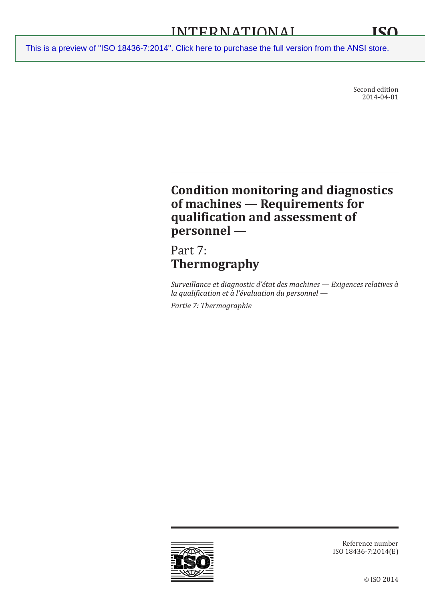Second edition 2014-04-01

# **Condition monitoring and diagnostics of machines — Requirements for qualification and assessment of personnel —**

Part 7: **Thermography**

*Surveillance et diagnostic d'état des machines — Exigences relatives à la qualification et à l'évaluation du personnel —*

*Partie 7: Thermographie*



Reference number ISO 18436-7:2014(E)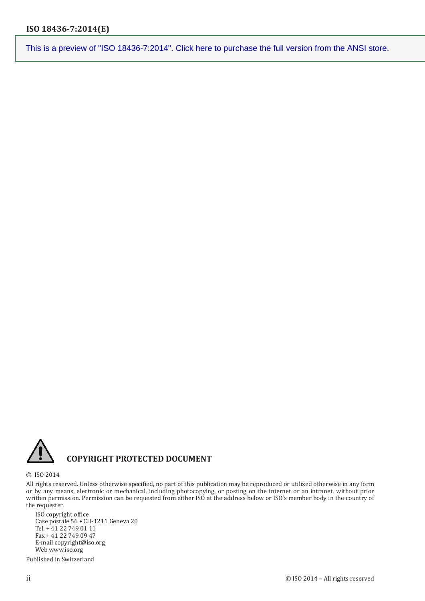

## **COPYRIGHT PROTECTED DOCUMENT**

© ISO 2014

All rights reserved. Unless otherwise specified, no part of this publication may be reproduced or utilized otherwise in any form or by any means, electronic or mechanical, including photocopying, or posting on the internet or an intranet, without prior written permission. Permission can be requested from either ISO at the address below or ISO's member body in the country of the requester.

ISO copyright office Case postale 56 • CH-1211 Geneva 20 Tel. + 41 22 749 01 11 Fax + 41 22 749 09 47 E-mail copyright@iso.org Web www.iso.org

Published in Switzerland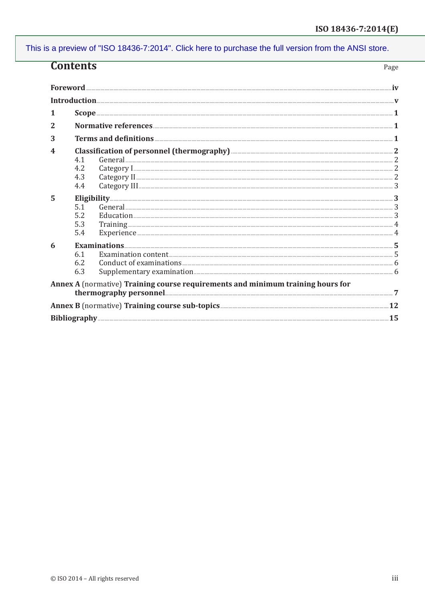| <b>Contents</b><br>Page |                                                                                                                                                                                                                                                                                                                                                                                                                                                                                                                                         |  |
|-------------------------|-----------------------------------------------------------------------------------------------------------------------------------------------------------------------------------------------------------------------------------------------------------------------------------------------------------------------------------------------------------------------------------------------------------------------------------------------------------------------------------------------------------------------------------------|--|
|                         |                                                                                                                                                                                                                                                                                                                                                                                                                                                                                                                                         |  |
|                         |                                                                                                                                                                                                                                                                                                                                                                                                                                                                                                                                         |  |
| 1                       |                                                                                                                                                                                                                                                                                                                                                                                                                                                                                                                                         |  |
| 2                       |                                                                                                                                                                                                                                                                                                                                                                                                                                                                                                                                         |  |
| 3                       |                                                                                                                                                                                                                                                                                                                                                                                                                                                                                                                                         |  |
| 4                       | 4.1<br>4.2<br>4.3<br>4.4                                                                                                                                                                                                                                                                                                                                                                                                                                                                                                                |  |
| 5                       | Eligibility 3<br>5.1<br>5.2<br>5.3<br>$\pmb{\text{Training}}\xspace_{\text{}}\xspace_{\text{}}\xspace_{\text{}}\xspace_{\text{}}\xspace_{\text{}}\xspace_{\text{}}\xspace_{\text{}}\xspace_{\text{}}\xspace_{\text{}}\xspace_{\text{}}\xspace_{\text{}}\xspace_{\text{}}\xspace_{\text{}}\xspace_{\text{}}\xspace_{\text{}}\xspace_{\text{}}\xspace_{\text{}}\xspace_{\text{}}\xspace_{\text{}}\xspace_{\text{}}\xspace_{\text{}}\xspace_{\text{}}\xspace_{\text{}}\xspace_{\text{}}\xspace_{\text{}}\xspace_{\text{}}\xspace_{$<br>5.4 |  |
| 6                       | 6.1<br>6.2<br>6.3                                                                                                                                                                                                                                                                                                                                                                                                                                                                                                                       |  |
|                         | Annex A (normative) Training course requirements and minimum training hours for<br>thermography personnel and a control of the control of the control of the control of the control of the control of the control of the control of the control of the control of the control of the control of the control of th                                                                                                                                                                                                                       |  |
|                         |                                                                                                                                                                                                                                                                                                                                                                                                                                                                                                                                         |  |
|                         |                                                                                                                                                                                                                                                                                                                                                                                                                                                                                                                                         |  |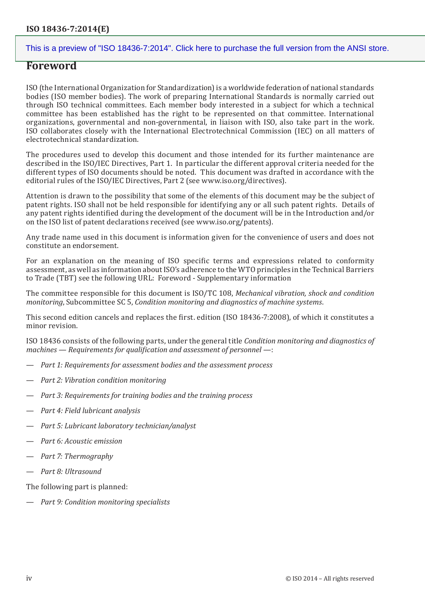### **Foreword**

ISO (the International Organization for Standardization) is a worldwide federation of national standards bodies (ISO member bodies). The work of preparing International Standards is normally carried out through ISO technical committees. Each member body interested in a subject for which a technical committee has been established has the right to be represented on that committee. International organizations, governmental and non-governmental, in liaison with ISO, also take part in the work. ISO collaborates closely with the International Electrotechnical Commission (IEC) on all matters of electrotechnical standardization.

The procedures used to develop this document and those intended for its further maintenance are described in the ISO/IEC Directives, Part 1. In particular the different approval criteria needed for the different types of ISO documents should be noted. This document was drafted in accordance with the editorial rules of the ISO/IEC Directives, Part 2 (see [www.iso.org/directives\)](http://www.iso.org/directives).

Attention is drawn to the possibility that some of the elements of this document may be the subject of patent rights. ISO shall not be held responsible for identifying any or all such patent rights. Details of any patent rights identified during the development of the document will be in the Introduction and/or on the ISO list of patent declarations received (see [www.iso.org/patents](http://www.iso.org/patents)).

Any trade name used in this document is information given for the convenience of users and does not constitute an endorsement.

For an explanation on the meaning of ISO specific terms and expressions related to conformity assessment, as well as information about ISO's adherence to the WTO principles in the Technical Barriers to Trade (TBT) see the following URL: [Foreword - Supplementary information](http://www.iso.org/iso/home/standards_development/resources-for-technical-work/foreword.htm)

The committee responsible for this document is ISO/TC 108, *Mechanical vibration, shock and condition monitoring*, Subcommittee SC 5, *Condition monitoring and diagnostics of machine systems*.

This second edition cancels and replaces the first. edition (ISO 18436-7:2008), of which it constitutes a minor revision.

ISO 18436 consists of the following parts, under the general title *Condition monitoring and diagnostics of machines — Requirements for qualification and assessment of personnel —*:

- *Part 1: Requirements for assessment bodies and the assessment process*
- *Part 2: Vibration condition monitoring*
- *Part 3: Requirements for training bodies and the training process*
- *Part 4: Field lubricant analysis*
- *Part 5: Lubricant laboratory technician/analyst*
- *Part 6: Acoustic emission*
- *Part 7: Thermography*
- *Part 8: Ultrasound*

The following part is planned:

— *Part 9: Condition monitoring specialists*